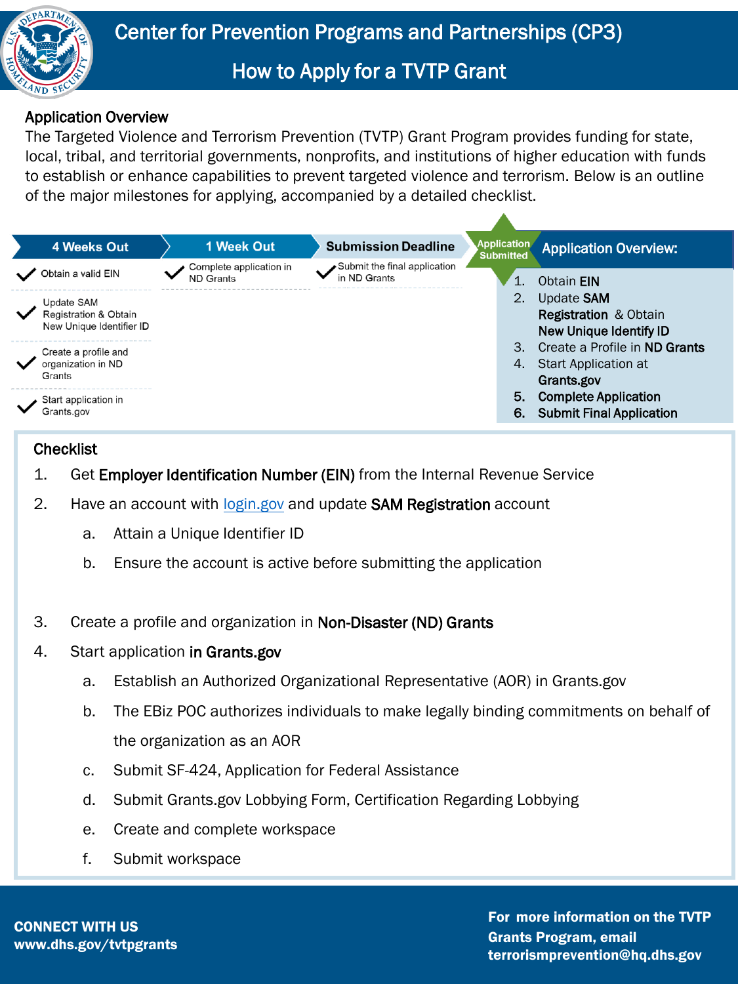

## How to Apply for a TVTP Grant

## Application Overview

The Targeted Violence and Terrorism Prevention (TVTP) Grant Program provides funding for state, local, tribal, and territorial governments, nonprofits, and institutions of higher education with funds to establish or enhance capabilities to prevent targeted violence and terrorism. Below is an outline of the major milestones for applying, accompanied by a detailed checklist.



## **Checklist**

- 1. Get Employer Identification Number (EIN) from the Internal Revenue Service
- 2. Have an account with [login.gov](https://www.login.gov/) and update SAM Registration account
	- a. Attain a Unique Identifier ID
	- b. Ensure the account is active before submitting the application
- 3. Create a profile and organization in Non-Disaster (ND) Grants
- 4. Start application in Grants.gov
	- a. Establish an Authorized Organizational Representative (AOR) in Grants.gov
	- b. The EBiz POC authorizes individuals to make legally binding commitments on behalf of the organization as an AOR
	- c. Submit SF-424, Application for Federal Assistance
	- d. Submit Grants.gov Lobbying Form, Certification Regarding Lobbying
	- e. Create and complete workspace
	- f. Submit workspace

CONNECT WITH US www.dhs.gov/tvtpgrants

For more information on the TVTP Grants Program, email terrorismprevention@hq.dhs.gov